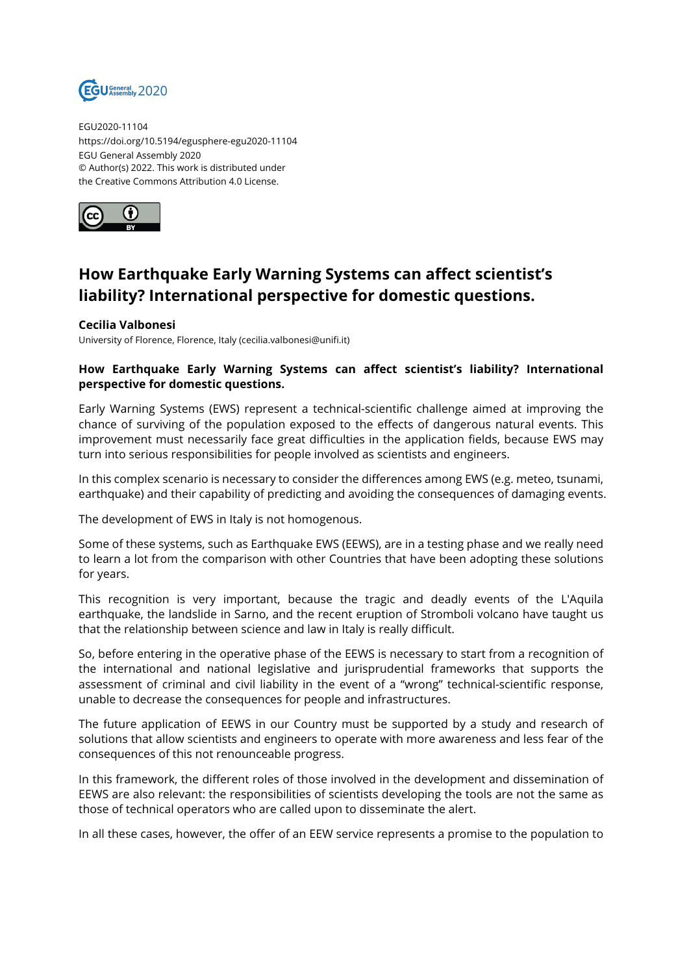

EGU2020-11104 https://doi.org/10.5194/egusphere-egu2020-11104 EGU General Assembly 2020 © Author(s) 2022. This work is distributed under the Creative Commons Attribution 4.0 License.



## **How Earthquake Early Warning Systems can affect scientist's liability? International perspective for domestic questions.**

## **Cecilia Valbonesi**

University of Florence, Florence, Italy (cecilia.valbonesi@unifi.it)

## **How Earthquake Early Warning Systems can affect scientist's liability? International perspective for domestic questions.**

Early Warning Systems (EWS) represent a technical-scientific challenge aimed at improving the chance of surviving of the population exposed to the effects of dangerous natural events. This improvement must necessarily face great difficulties in the application fields, because EWS may turn into serious responsibilities for people involved as scientists and engineers.

In this complex scenario is necessary to consider the differences among EWS (e.g. meteo, tsunami, earthquake) and their capability of predicting and avoiding the consequences of damaging events.

The development of EWS in Italy is not homogenous.

Some of these systems, such as Earthquake EWS (EEWS), are in a testing phase and we really need to learn a lot from the comparison with other Countries that have been adopting these solutions for years.

This recognition is very important, because the tragic and deadly events of the L'Aquila earthquake, the landslide in Sarno, and the recent eruption of Stromboli volcano have taught us that the relationship between science and law in Italy is really difficult.

So, before entering in the operative phase of the EEWS is necessary to start from a recognition of the international and national legislative and jurisprudential frameworks that supports the assessment of criminal and civil liability in the event of a "wrong" technical-scientific response, unable to decrease the consequences for people and infrastructures.

The future application of EEWS in our Country must be supported by a study and research of solutions that allow scientists and engineers to operate with more awareness and less fear of the consequences of this not renounceable progress.

In this framework, the different roles of those involved in the development and dissemination of EEWS are also relevant: the responsibilities of scientists developing the tools are not the same as those of technical operators who are called upon to disseminate the alert.

In all these cases, however, the offer of an EEW service represents a promise to the population to